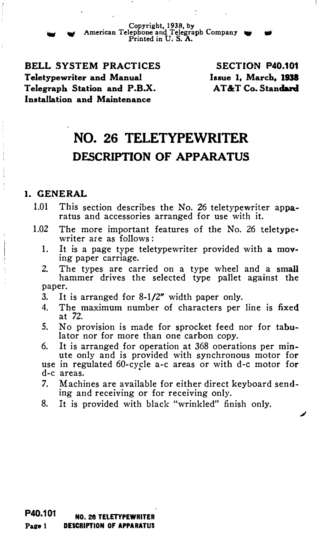- Copyright, 1938, by <sup>w</sup>American Telephone and Telegraph Company W Printed in U. S. A.

BELL SYSTEM PRACTICES Teletypewriter and Manual Telegraph Station and P.B.X. Installation and Maintenance

SECTION P40.101 Issue 1, March, 1938 AT&T Co. Standard

# NO. 26 TELETYPEWRITER DESCRIPTION OF APPARATUS

#### 1. GENERAL

- 1.01 This section describes the No. 26 teletypewriter apparatus and accessories arranged for use with it.
- 1.02 The more important features of the No. 26 teletype• writer are as follows:
	- 1. It is a page type teletypewriter provided with a mov• ing paper carriage.
	- 2. The types are carried on a type wheel and a small hammer drives the selected type pallet against the paper.
	- 3. It is arranged for 8-1/2" width paper only.
	- 4. The maximum number of characters per line is fixed at 72.
	- 5. No provision is made for sprocket feed nor for tabulator nor for more than one carbon copy.
	- 6. It is arranged for operation at 368 operations per minute only and is provided with synchronous motor for use in regulated 60-cycle a-c areas or with d-c motor for d-e areas.
	- 7. Machines are available for either direct keyboard sending and receiving or for receiving only.
	- 8. It is provided with black "wrinkled" finish only.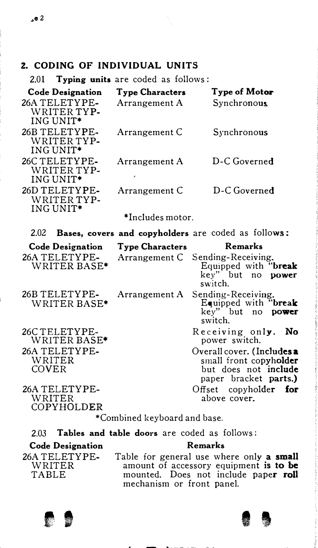## 2. CODING OF INDIVIDUAL UNITS

2.01 Typing units are coded as follows:

| <b>Code Designation</b>                               | <b>Type Characters</b> | Type of Motor                                                                                         |  |  |
|-------------------------------------------------------|------------------------|-------------------------------------------------------------------------------------------------------|--|--|
| 26A TELETYPE-<br>WRITER TYP-<br>ING UNIT*             | Arrangement A          | <b>Synchronous</b>                                                                                    |  |  |
| 26B TELETYPE-<br>WRITER TYP-<br>ING UNIT*             | Arrangement C          | Synchronous                                                                                           |  |  |
| 26C TELETYPE-<br>WRITER TYP-<br>ING UNIT*             | Arrangement A          | D-C Governed                                                                                          |  |  |
| 26D TELETYPE-<br>WRITER TYP-<br>ING UNIT <sup>*</sup> | Arrangement C          | D-C Governed                                                                                          |  |  |
|                                                       | *Includes motor.       |                                                                                                       |  |  |
| 2.02                                                  |                        | <b>Bases, covers and copyholders</b> are coded as follows:                                            |  |  |
| <b>Code Designation</b>                               | <b>Type Characters</b> | Remarks                                                                                               |  |  |
| 26A TELETYPE-                                         |                        |                                                                                                       |  |  |
| WRITER BASE*                                          | Arrangement C          | Sending-Receiving.<br>Equipped with "break<br>key" but no <b>power</b><br>switch.                     |  |  |
| 26B TELETYPE-<br>WRITER BASE*                         | Arrangement A          | Sending-Receiving.<br>Equipped with "break<br>key" but no<br>power<br>switch.                         |  |  |
| 26CTELETYPE-<br>WRITER BASE <sup>*</sup>              |                        | Receiving only. No<br>power switch.                                                                   |  |  |
| 26A TELETYPE-<br>WRITER<br>COVER                      |                        | Overall cover. (Includes a<br>small front copyholder<br>but does not include<br>paper bracket parts.) |  |  |

\*Combined keyboard and base.

2.03 Tables and table doors are coded as follows: Code Designation Remarks

26A TELETYPE-WRITER TABLE

Table for general use where only a small amount of accessory equipment is to be mounted. Does not include pape**r roll** mechanism or front panel.



COPYHOLDER

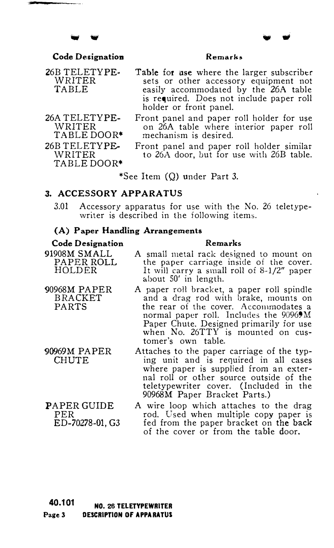#### Code Designation

#### Remarks

26B TELETYPE· WRITER TABLE

26A TELETYPE-WRITER TABLE DOOR\* 26B TELETYPE-WRITER TABLE DOOR\*

CHUTE

PER

Table for use where the larger subscriber sets or other accessory equipment not easily accommodated by the 26A table is required. Does not include paper roll holder or front panel.

Front panel and paper roll holder for use on 26A table where interior paper roll mechanism is desired.

Front panel and paper roll holder similar to 26A door, but for use with 26B table.

Remarks

\*See Item (Q) under Part 3.

#### 3. ACCESSORY APPARATUS

3.01 Accessory apparatus for use with the No. 26 teletypewriter is described in the following items.

#### (A) Paper Handling Arrangements

## Code Designation

- 91908M SMALL PAPER ROLL HOLDER A small metal rack designed to mount on the paper carriage inside of the cover. It will carry a small roll of 8-1/2" paper about 50' in length.
- 90968M PAPER BRACKET PARTS 90969M PAPER A paper roll bracket, a paper roll spindle and a drag rod with brake, mounts on the rear of the cover. Accommodates a normal paper roll. Includes the 90969M Paper Chute. Designed primarily for use when No. 26TTY is mounted on customer's own table.
	- Attaches to the paper carriage of the typing unit and is required in all cases where paper is supplied from an external roll or other source outside of the teletypewriter cover. (Included in the 90968M Paper Bracket Parts.)
- PAPER GUIDE ED-70278-01, G3 A wire loop which attaches to the drag rod. Used when multiple copy paper is fed from the paper bracket on the back of the cover or from the table door.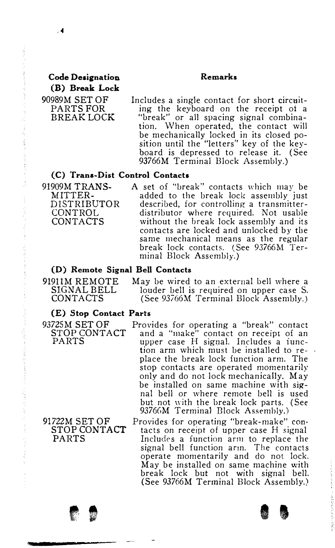#### Remarks

Code Designation (B) Break Lock 90989M SET OF PARTS FOR BREAK LOCK

 $\overline{4}$ 

Includes a single contact for short circuiting the keyboard on the receipt of a "break" or all spacing signal combina-<br>tion. When operated, the contact will When operated, the contact will be mechanically locked in its closed position until the "letters" key of the keyboard is depressed to release it. (See 93766M Terminal Block Assembly.)

#### (C) Trana-Dist Control Contacts

91909M TRANS-<br>MITTER- added to the break lock assembly just MITTER-<br>DISTRIBUTOR described, for controlling a transmitter-DISTRIBUTOR described, for controlling a transmitter-CONTROL distributor where required. Not usable<br>CONTACTS without the break lock assembly and its without the break lock assembly and its contacts are locked and unlocked by the same mechanical means as the regular break lock contacts. (See 93766M Terminal Block Assembly.)

#### (D) Remote Signal Bell Contacts

91911M REMOTE May be wired to an external bell where a SIGNAL BELL louder bell is required on upper case S. CONTACTS (See 93766M Terminal Block Assembly.)

#### (E) Stop Contact Parts

91722M SET OF STOP CONTACT PARTS

- 
- 93725M SET OF Provides for operating a "break" contact<br>STOP CONTACT and a "make" contact on receipt of an STOP CONTACT and a "make" contact on receipt of an PARTS upper case H signal. Includes a iunction arm which must be installed to replace the break lock function arm. The stop contacts are operated momentarily only and do not lock mechanically. May be installed on same machine with signal bell or where remote bell is used but not \vith the break lock parts. (See 93766M Terminal Block Assembly.)

Provides for operating "break-make" con· tacts on receipt of upper case H signal Includes a function arm to replace the signal bell function arm. The contacts operate momentarily and do not lock. May be installed on same machine with break lock but not with signal bell. (See 93766M Terminal Block Assembly.)

. '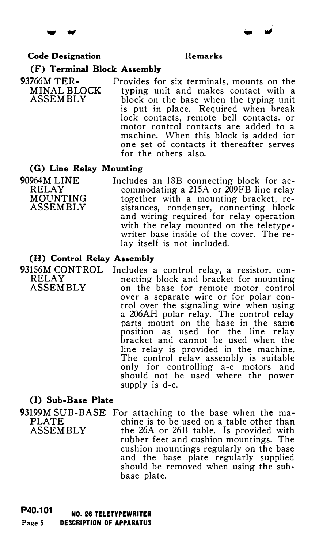#### Code Designation Remarks

- IIIIIJl

#### (F) Terminal Block Assembly

93766M TER- Provides for six terminals, mounts on the MINAL BLOCK typing unit and makes contact with a  $ASSEMBLY$  block on the base when the typing unit block on the base when the typing unit is put in place. Required when break lock contacts, remote bell contacts, or motor control contacts are added to a machine. When this block is added for one set of contacts it thereafter serves for the others also.

#### (G) Line Relay Mounting

90964M LINE Includes an 18B connecting block for ac-<br>RELAY commodating a 215A or 200FB line relay RELAY commodating a 215A or 200FB line relay<br>MOUNTING together with a mounting bracket. re-MOUNTING together with a mounting bracket, re-<br>ASSEMBLY sistances, condenser, connecting block sistances, condenser, connecting block and wiring required for relay operation with the relay mounted on the teletypewriter base inside of the cover. The relay itself is not included.

#### (H) Control Relay Assembly

93156M CONTROL Includes a control relay, a resistor, con-<br>RELAY necting block and bracket for mounting RELAY necting block and bracket for mounting<br>ASSEMBLY on the base for remote motor control on the base for remote motor control over a separate wire or for polar control over the signaling wire when using a 206AH polar relay. The control relay parts mount on the base in the same position as used for the line relay bracket and cannot be used when the line relay is provided in the machine. The control relay assembly is suitable only for controlling a-c motors and should not be used where the power supply is d-e.

#### (I) Sub-Base Plate

93199M SUB-BASE For attaching to the base when the ma-<br>PLATE chine is to be used on a table other than PLATE chine is to be used on a table other than<br>ASSEMBLY the 26A or 26B table. Is provided with the 26A or 26B table. Is provided with rubber feet and cushion mountings. The cushion mountings regularly on the base and the base plate regularly supplied should be removed when using the subbase plate.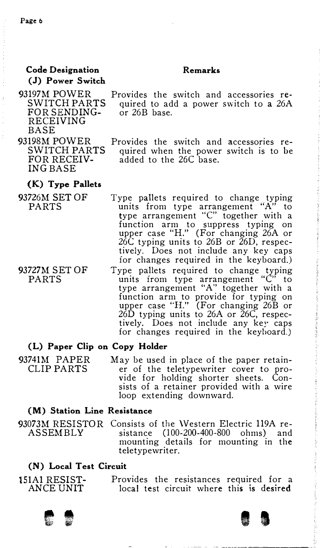#### Remarks

#### Code Designation (J) Power Switch

93197M POWER SWITCH PARTS FOR SENDING-RECEIVING **BASE** 

- Provides the switch and accessories required to add a power switch to a 26A or 26B base.
- 93198M POWER SWITCH PARTS FOR RECEIV-ING BASE
	- Provides the switch and accessories required when the power switch is to be added to the 26C base.

#### (K) Type Pallets

- 93726M SET OF PARTS Type pallets required to change typing units from type arrangement "A" to type arrangement "C" together with a function arm to suppress typing on upper case "H." (For changing 26A or 26C typing units to 26B or 26D, respectively. Does not include any key caps for changes required in the keyboard.)
- 93727M SET OF PARTS Type pallets required to change typing units from type arrangement "C" to type arrangement "A" together with a function arm to provide for typing on upper case 'TL" (For changing 26B or 26D typing units to 26A or 26C, respectively. Does not include any key caps for changes required in the keyboard.)

#### (L) Paper Clip on Copy Holder

93741M PAPER CLIP PARTS May be used in place of the paper retainer of the teletypewriter cover to provide for holding shorter sheets. Consists of a retainer provided with a wire loop extending downward.

#### (M) Station Line Resistance

93073M RESISTOR Consists of the \Vestern Electric 119A re-ASSEMBLY sistance (100-200-400-800 ohms) and mounting details for mounting in the teletypewriter.

#### (N) Local Test Circuit

| 151A1 RESIST- |  | Provides the resistances required for a  |  |
|---------------|--|------------------------------------------|--|
| ANCE UNIT     |  | local test circuit where this is desired |  |



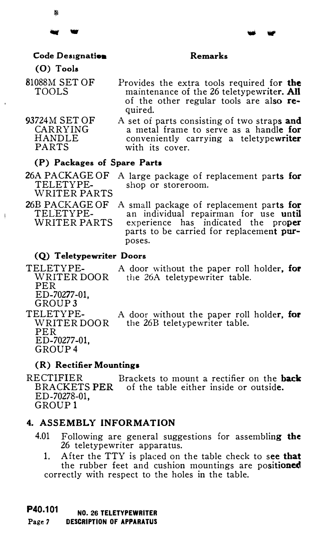脂

#### Remarks

## Code Designation

#### (0) Tools

81088M SET OF TOOLS

93724M SET OF CARRYING HANDLE PARTS

- Provides the extra tools required for the maintenance of the 26 teletypewriter. All of the other regular tools are also required.
- A set of parts consisting of two straps and a metal frame to serve as a handle for conveniently carrying a teletypewriter with its cover.

#### (P) Packages of Spare Parts

WRITER PARTS

26A PACKAGE OF A large package of replacement parts for<br>TELETYPE- shop or storeroom. shop or storeroom.

26B PACKAGE OF TELETYPE-WRITER PARTS

 $\begin{array}{c} \rule{0pt}{2ex} \rule{0pt}{2ex} \rule{0pt}{2ex} \rule{0pt}{2ex} \rule{0pt}{2ex} \rule{0pt}{2ex} \rule{0pt}{2ex} \rule{0pt}{2ex} \rule{0pt}{2ex} \rule{0pt}{2ex} \rule{0pt}{2ex} \rule{0pt}{2ex} \rule{0pt}{2ex} \rule{0pt}{2ex} \rule{0pt}{2ex} \rule{0pt}{2ex} \rule{0pt}{2ex} \rule{0pt}{2ex} \rule{0pt}{2ex} \rule{0pt}{2ex} \rule{0pt}{2ex} \rule{0pt}{2ex} \rule{0pt}{2ex} \rule{0pt}{$ 

A small package of replacement parts for an individual repairman for use until experience has indicated the proper parts to be carried for replacement purposes.

#### (Q) Teletypewriter Doors

TELETYPE- A door without the paper roll holder, for<br>WRITER DOOR the 26A teletypewriter table. the 26A teletypewriter table. PER ED-70277-01, GROUP3 TELETYPE-WRITER DOOR PER ED-70277-01, GROUP4 A door without the paper roll holder, for the 26B teletypewriter table.

#### (R) Rectifier Mountings

RECTIFIER Brackets to mount a rectifier on the **back** BRACKETS PER of the table either inside or outside. ED-70278-01, GROUP<sub>1</sub>

#### 4. ASSEMBLY INFORMATION

- 4.01 Following are general suggestions for assembling the 26 teletypewriter apparatus.
	- 1. After the TTY is placed on the table check to see that the rubber feet and cushion mountings are positioned correctly with respect to the holes in the table.

#### P40.101 NO. 26 TELETYPEWRITER

#### Page 7 DESCRIPTION OF APPARATUS